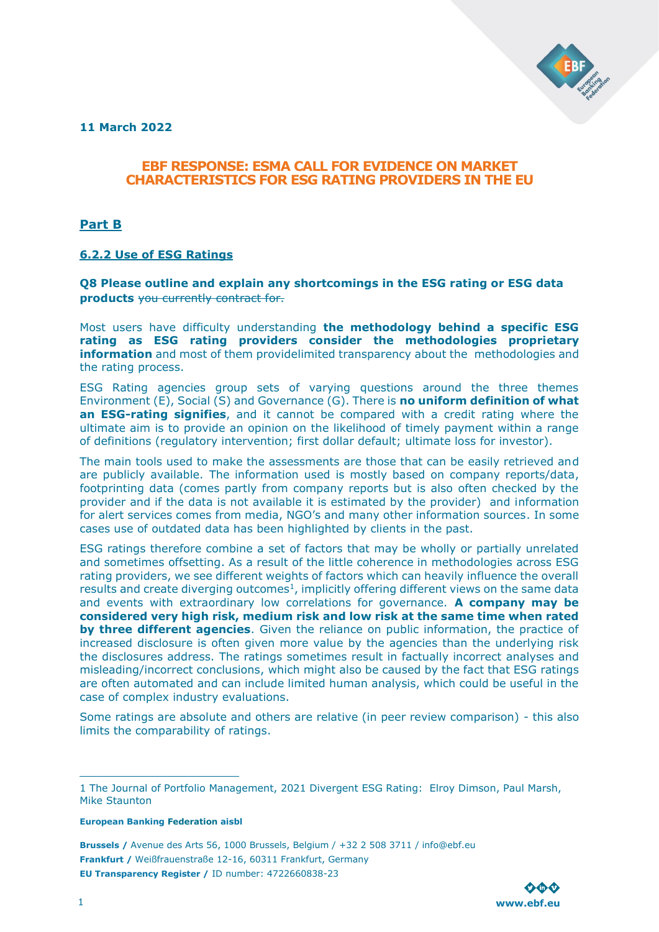

**11 March 2022**

# **EBF RESPONSE: ESMA CALL FOR EVIDENCE ON MARKET CHARACTERISTICS FOR ESG RATING PROVIDERS IN THE EU**

**Part B**

## **6.2.2 Use of ESG Ratings**

**Q8 Please outline and explain any shortcomings in the ESG rating or ESG data products** you currently contract for.

Most users have difficulty understanding **the methodology behind a specific ESG rating as ESG rating providers consider the methodologies proprietary information** and most of them providelimited transparency about the methodologies and the rating process.

ESG Rating agencies group sets of varying questions around the three themes Environment (E), Social (S) and Governance (G). There is **no uniform definition of what an ESG-rating signifies**, and it cannot be compared with a credit rating where the ultimate aim is to provide an opinion on the likelihood of timely payment within a range of definitions (regulatory intervention; first dollar default; ultimate loss for investor).

The main tools used to make the assessments are those that can be easily retrieved and are publicly available. The information used is mostly based on company reports/data, footprinting data (comes partly from company reports but is also often checked by the provider and if the data is not available it is estimated by the provider) and information for alert services comes from media, NGO's and many other information sources. In some cases use of outdated data has been highlighted by clients in the past.

ESG ratings therefore combine a set of factors that may be wholly or partially unrelated and sometimes offsetting. As a result of the little coherence in methodologies across ESG rating providers, we see different weights of factors which can heavily influence the overall results and create diverging outcomes<sup>1</sup>, implicitly offering different views on the same data and events with extraordinary low correlations for governance. **A company may be considered very high risk, medium risk and low risk at the same time when rated by three different agencies**. Given the reliance on public information, the practice of increased disclosure is often given more value by the agencies than the underlying risk the disclosures address. The ratings sometimes result in factually incorrect analyses and misleading/incorrect conclusions, which might also be caused by the fact that ESG ratings are often automated and can include limited human analysis, which could be useful in the case of complex industry evaluations.

Some ratings are absolute and others are relative (in peer review comparison) - this also limits the comparability of ratings.

**European Banking Federation aisbl**



<sup>1</sup> The Journal of Portfolio Management, 2021 Divergent ESG Rating: Elroy Dimson, Paul Marsh, Mike Staunton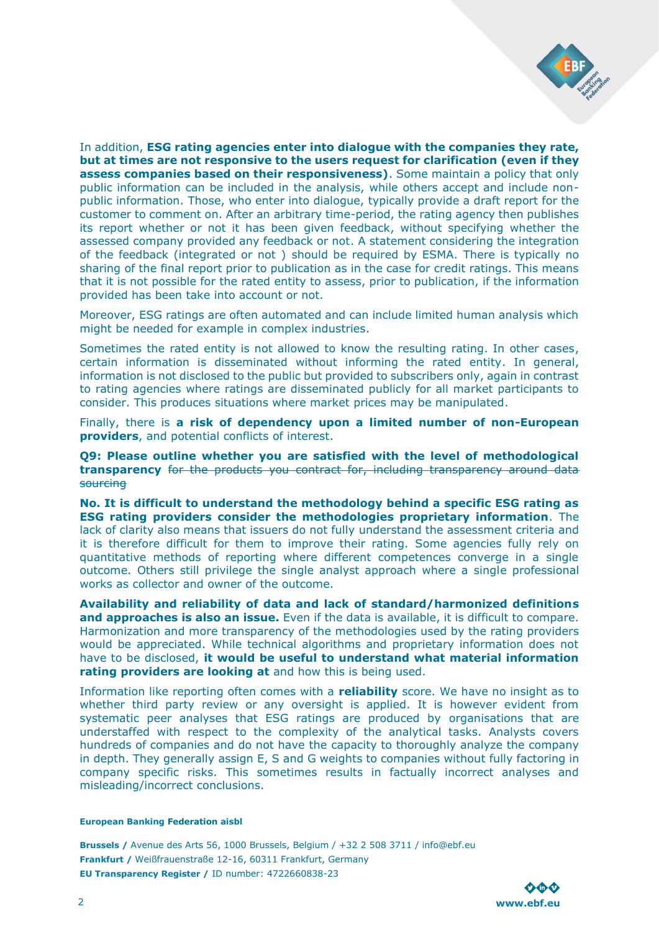

In addition, **ESG rating agencies enter into dialogue with the companies they rate, but at times are not responsive to the users request for clarification (even if they assess companies based on their responsiveness)**. Some maintain a policy that only public information can be included in the analysis, while others accept and include nonpublic information. Those, who enter into dialogue, typically provide a draft report for the customer to comment on. After an arbitrary time-period, the rating agency then publishes its report whether or not it has been given feedback, without specifying whether the assessed company provided any feedback or not. A statement considering the integration of the feedback (integrated or not ) should be required by ESMA. There is typically no sharing of the final report prior to publication as in the case for credit ratings. This means that it is not possible for the rated entity to assess, prior to publication, if the information provided has been take into account or not.

Moreover, ESG ratings are often automated and can include limited human analysis which might be needed for example in complex industries.

Sometimes the rated entity is not allowed to know the resulting rating. In other cases, certain information is disseminated without informing the rated entity. In general, information is not disclosed to the public but provided to subscribers only, again in contrast to rating agencies where ratings are disseminated publicly for all market participants to consider. This produces situations where market prices may be manipulated.

Finally, there is **a risk of dependency upon a limited number of non-European providers**, and potential conflicts of interest.

**Q9: Please outline whether you are satisfied with the level of methodological transparency** for the products you contract for, including transparency around data **sourcing** 

**No. It is difficult to understand the methodology behind a specific ESG rating as ESG rating providers consider the methodologies proprietary information**. The lack of clarity also means that issuers do not fully understand the assessment criteria and it is therefore difficult for them to improve their rating. Some agencies fully rely on quantitative methods of reporting where different competences converge in a single outcome. Others still privilege the single analyst approach where a single professional works as collector and owner of the outcome.

**Availability and reliability of data and lack of standard/harmonized definitions and approaches is also an issue.** Even if the data is available, it is difficult to compare. Harmonization and more transparency of the methodologies used by the rating providers would be appreciated. While technical algorithms and proprietary information does not have to be disclosed, **it would be useful to understand what material information rating providers are looking at** and how this is being used.

Information like reporting often comes with a **reliability** score. We have no insight as to whether third party review or any oversight is applied. It is however evident from systematic peer analyses that ESG ratings are produced by organisations that are understaffed with respect to the complexity of the analytical tasks. Analysts covers hundreds of companies and do not have the capacity to thoroughly analyze the company in depth. They generally assign E, S and G weights to companies without fully factoring in company specific risks. This sometimes results in factually incorrect analyses and misleading/incorrect conclusions.

### **European Banking Federation aisbl**

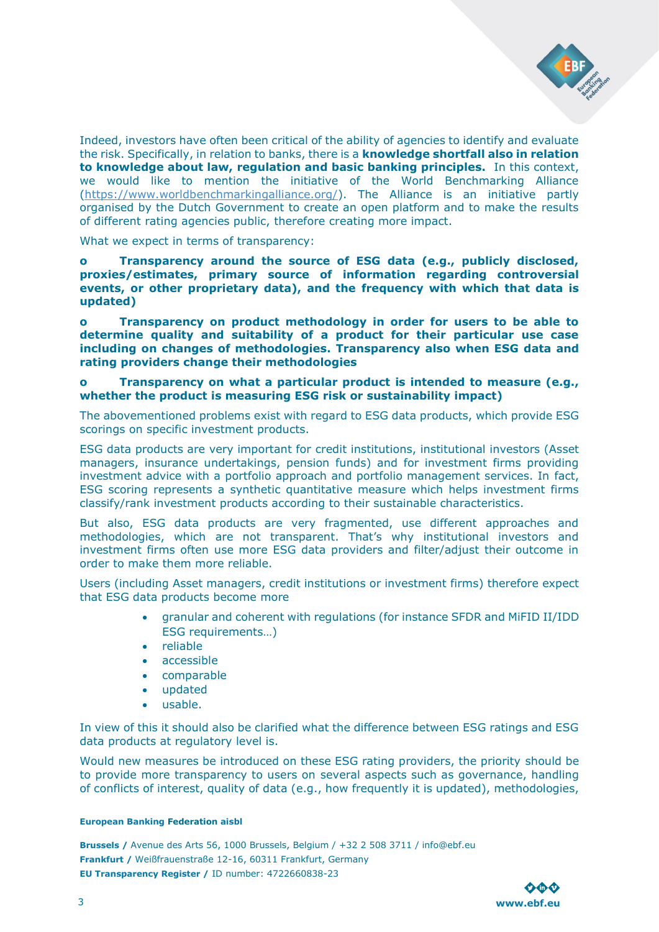

Indeed, investors have often been critical of the ability of agencies to identify and evaluate the risk. Specifically, in relation to banks, there is a **knowledge shortfall also in relation to knowledge about law, regulation and basic banking principles.** In this context, we would like to mention the initiative of the World Benchmarking Alliance [\(https://www.worldbenchmarkingalliance.org/\)](https://www.worldbenchmarkingalliance.org/). The Alliance is an initiative partly organised by the Dutch Government to create an open platform and to make the results of different rating agencies public, therefore creating more impact.

What we expect in terms of transparency:

**o Transparency around the source of ESG data (e.g., publicly disclosed, proxies/estimates, primary source of information regarding controversial events, or other proprietary data), and the frequency with which that data is updated)**

**o Transparency on product methodology in order for users to be able to determine quality and suitability of a product for their particular use case including on changes of methodologies. Transparency also when ESG data and rating providers change their methodologies**

## **o Transparency on what a particular product is intended to measure (e.g., whether the product is measuring ESG risk or sustainability impact)**

The abovementioned problems exist with regard to ESG data products, which provide ESG scorings on specific investment products.

ESG data products are very important for credit institutions, institutional investors (Asset managers, insurance undertakings, pension funds) and for investment firms providing investment advice with a portfolio approach and portfolio management services. In fact, ESG scoring represents a synthetic quantitative measure which helps investment firms classify/rank investment products according to their sustainable characteristics.

But also, ESG data products are very fragmented, use different approaches and methodologies, which are not transparent. That's why institutional investors and investment firms often use more ESG data providers and filter/adjust their outcome in order to make them more reliable.

Users (including Asset managers, credit institutions or investment firms) therefore expect that ESG data products become more

- granular and coherent with regulations (for instance SFDR and MiFID II/IDD ESG requirements…)
- reliable
- accessible
- comparable
- updated
- usable.

In view of this it should also be clarified what the difference between ESG ratings and ESG data products at regulatory level is.

Would new measures be introduced on these ESG rating providers, the priority should be to provide more transparency to users on several aspects such as governance, handling of conflicts of interest, quality of data (e.g., how frequently it is updated), methodologies,

### **European Banking Federation aisbl**

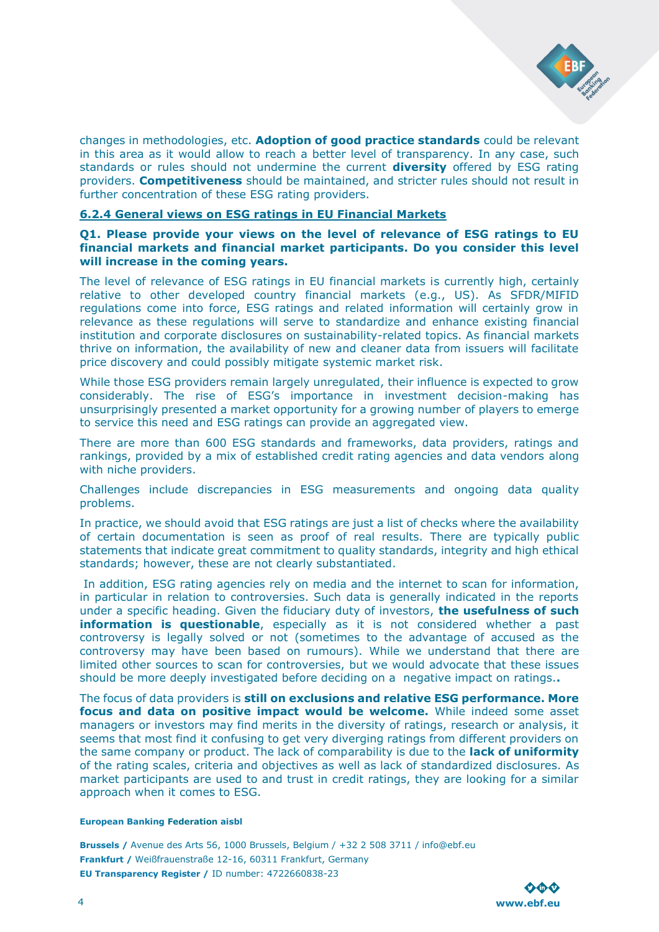

changes in methodologies, etc. **Adoption of good practice standards** could be relevant in this area as it would allow to reach a better level of transparency. In any case, such standards or rules should not undermine the current **diversity** offered by ESG rating providers. **Competitiveness** should be maintained, and stricter rules should not result in further concentration of these ESG rating providers.

## **6.2.4 General views on ESG ratings in EU Financial Markets**

**Q1. Please provide your views on the level of relevance of ESG ratings to EU financial markets and financial market participants. Do you consider this level will increase in the coming years.** 

The level of relevance of ESG ratings in EU financial markets is currently high, certainly relative to other developed country financial markets (e.g., US). As SFDR/MIFID regulations come into force, ESG ratings and related information will certainly grow in relevance as these regulations will serve to standardize and enhance existing financial institution and corporate disclosures on sustainability-related topics. As financial markets thrive on information, the availability of new and cleaner data from issuers will facilitate price discovery and could possibly mitigate systemic market risk.

While those ESG providers remain largely unregulated, their influence is expected to grow considerably. The rise of ESG's importance in investment decision-making has unsurprisingly presented a market opportunity for a growing number of players to emerge to service this need and ESG ratings can provide an aggregated view.

There are more than 600 ESG standards and frameworks, data providers, ratings and rankings, provided by a mix of established credit rating agencies and data vendors along with niche providers.

Challenges include discrepancies in ESG measurements and ongoing data quality problems.

In practice, we should avoid that ESG ratings are just a list of checks where the availability of certain documentation is seen as proof of real results. There are typically public statements that indicate great commitment to quality standards, integrity and high ethical standards; however, these are not clearly substantiated.

In addition, ESG rating agencies rely on media and the internet to scan for information, in particular in relation to controversies. Such data is generally indicated in the reports under a specific heading. Given the fiduciary duty of investors, **the usefulness of such information is questionable**, especially as it is not considered whether a past controversy is legally solved or not (sometimes to the advantage of accused as the controversy may have been based on rumours). While we understand that there are limited other sources to scan for controversies, but we would advocate that these issues should be more deeply investigated before deciding on a negative impact on ratings.**.**

The focus of data providers is **still on exclusions and relative ESG performance. More focus and data on positive impact would be welcome.** While indeed some asset managers or investors may find merits in the diversity of ratings, research or analysis, it seems that most find it confusing to get very diverging ratings from different providers on the same company or product. The lack of comparability is due to the **lack of uniformity** of the rating scales, criteria and objectives as well as lack of standardized disclosures. As market participants are used to and trust in credit ratings, they are looking for a similar approach when it comes to ESG.

### **European Banking Federation aisbl**

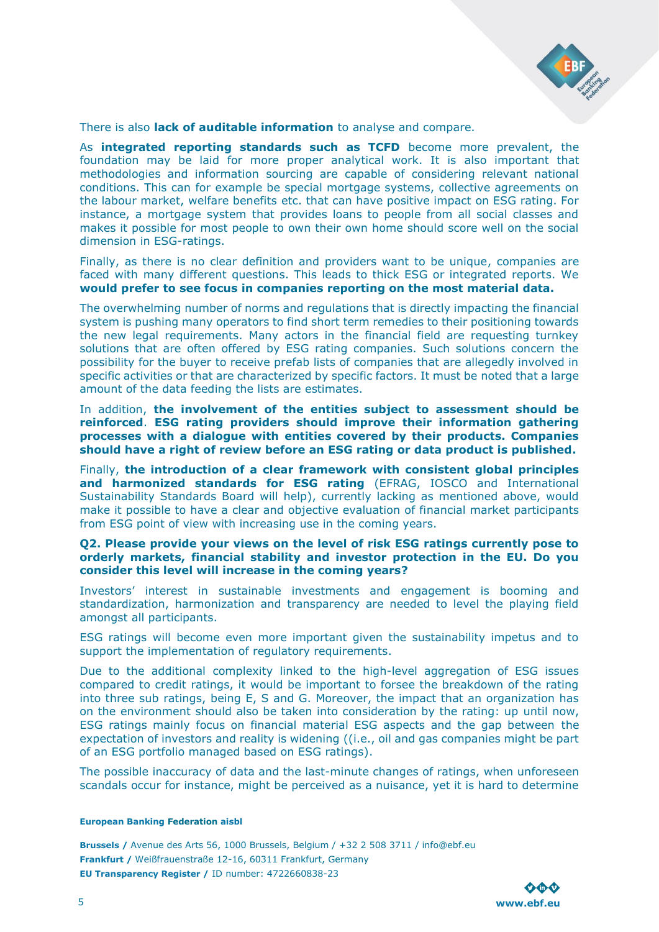

There is also **lack of auditable information** to analyse and compare.

As **integrated reporting standards such as TCFD** become more prevalent, the foundation may be laid for more proper analytical work. It is also important that methodologies and information sourcing are capable of considering relevant national conditions. This can for example be special mortgage systems, collective agreements on the labour market, welfare benefits etc. that can have positive impact on ESG rating. For instance, a mortgage system that provides loans to people from all social classes and makes it possible for most people to own their own home should score well on the social dimension in ESG-ratings.

Finally, as there is no clear definition and providers want to be unique, companies are faced with many different questions. This leads to thick ESG or integrated reports. We **would prefer to see focus in companies reporting on the most material data.**

The overwhelming number of norms and regulations that is directly impacting the financial system is pushing many operators to find short term remedies to their positioning towards the new legal requirements. Many actors in the financial field are requesting turnkey solutions that are often offered by ESG rating companies. Such solutions concern the possibility for the buyer to receive prefab lists of companies that are allegedly involved in specific activities or that are characterized by specific factors. It must be noted that a large amount of the data feeding the lists are estimates.

In addition, **the involvement of the entities subject to assessment should be reinforced**. **ESG rating providers should improve their information gathering processes with a dialogue with entities covered by their products. Companies should have a right of review before an ESG rating or data product is published.**

Finally, **the introduction of a clear framework with consistent global principles and harmonized standards for ESG rating** (EFRAG, IOSCO and International Sustainability Standards Board will help), currently lacking as mentioned above, would make it possible to have a clear and objective evaluation of financial market participants from ESG point of view with increasing use in the coming years.

### **Q2. Please provide your views on the level of risk ESG ratings currently pose to orderly markets, financial stability and investor protection in the EU. Do you consider this level will increase in the coming years?**

Investors' interest in sustainable investments and engagement is booming and standardization, harmonization and transparency are needed to level the playing field amongst all participants.

ESG ratings will become even more important given the sustainability impetus and to support the implementation of regulatory requirements.

Due to the additional complexity linked to the high-level aggregation of ESG issues compared to credit ratings, it would be important to forsee the breakdown of the rating into three sub ratings, being E, S and G. Moreover, the impact that an organization has on the environment should also be taken into consideration by the rating: up until now, ESG ratings mainly focus on financial material ESG aspects and the gap between the expectation of investors and reality is widening ((i.e., oil and gas companies might be part of an ESG portfolio managed based on ESG ratings).

The possible inaccuracy of data and the last-minute changes of ratings, when unforeseen scandals occur for instance, might be perceived as a nuisance, yet it is hard to determine

#### **European Banking Federation aisbl**

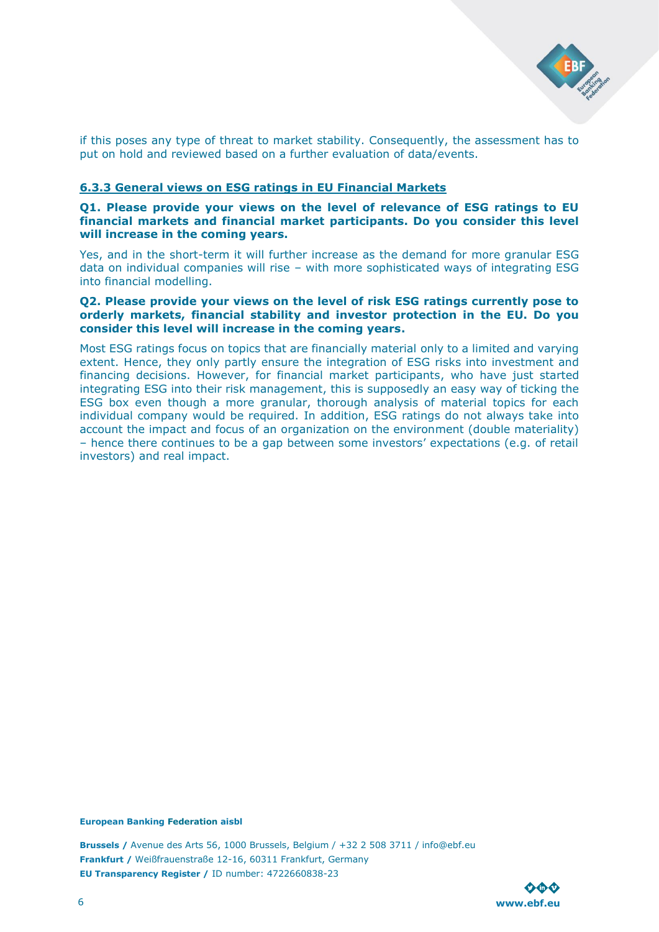

if this poses any type of threat to market stability. Consequently, the assessment has to put on hold and reviewed based on a further evaluation of data/events.

## **6.3.3 General views on ESG ratings in EU Financial Markets**

### **Q1. Please provide your views on the level of relevance of ESG ratings to EU financial markets and financial market participants. Do you consider this level will increase in the coming years.**

Yes, and in the short-term it will further increase as the demand for more granular ESG data on individual companies will rise – with more sophisticated ways of integrating ESG into financial modelling.

### **Q2. Please provide your views on the level of risk ESG ratings currently pose to orderly markets, financial stability and investor protection in the EU. Do you consider this level will increase in the coming years.**

Most ESG ratings focus on topics that are financially material only to a limited and varying extent. Hence, they only partly ensure the integration of ESG risks into investment and financing decisions. However, for financial market participants, who have just started integrating ESG into their risk management, this is supposedly an easy way of ticking the ESG box even though a more granular, thorough analysis of material topics for each individual company would be required. In addition, ESG ratings do not always take into account the impact and focus of an organization on the environment (double materiality) – hence there continues to be a gap between some investors' expectations (e.g. of retail investors) and real impact.

### **European Banking Federation aisbl**